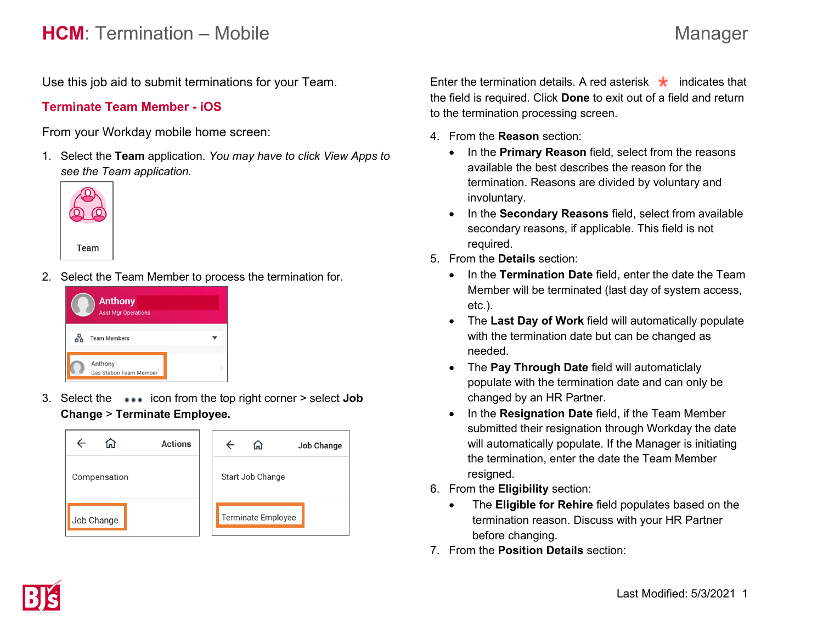# **HCM**: Termination – Mobile Manager

Use this job aid to submit terminations for your Team.

## **Terminate Team Member - iOS**

From your Workday mobile home screen:

1. Select the **Team** application. *You may have to click View Apps to see the Team application.* 



2. Select the Team Member to process the termination for.



3. Select the icon from the top right corner > select **Job Change** > **Terminate Employee.**



Enter the termination details. A red asterisk  $\star$  indicates that the field is required. Click **Done** to exit out of a field and return to the termination processing screen.

- 4. From the **Reason** section:
	- In the **Primary Reason** field, select from the reasons available the best describes the reason for the termination. Reasons are divided by voluntary and involuntary.
	- In the **Secondary Reasons** field, select from available secondary reasons, if applicable. This field is not required.
- 5. From the **Details** section:
	- In the **Termination Date** field, enter the date the Team Member will be terminated (last day of system access, etc.).
	- The **Last Day of Work** field will automatically populate with the termination date but can be changed as needed.
	- The **Pay Through Date** field will automaticlaly populate with the termination date and can only be changed by an HR Partner.
	- In the **Resignation Date** field, if the Team Member submitted their resignation through Workday the date will automatically populate. If the Manager is initiating the termination, enter the date the Team Member resigned.
- 6. From the **Eligibility** section:
	- The **Eligible for Rehire** field populates based on the termination reason. Discuss with your HR Partner before changing.
- 7. From the **Position Details** section: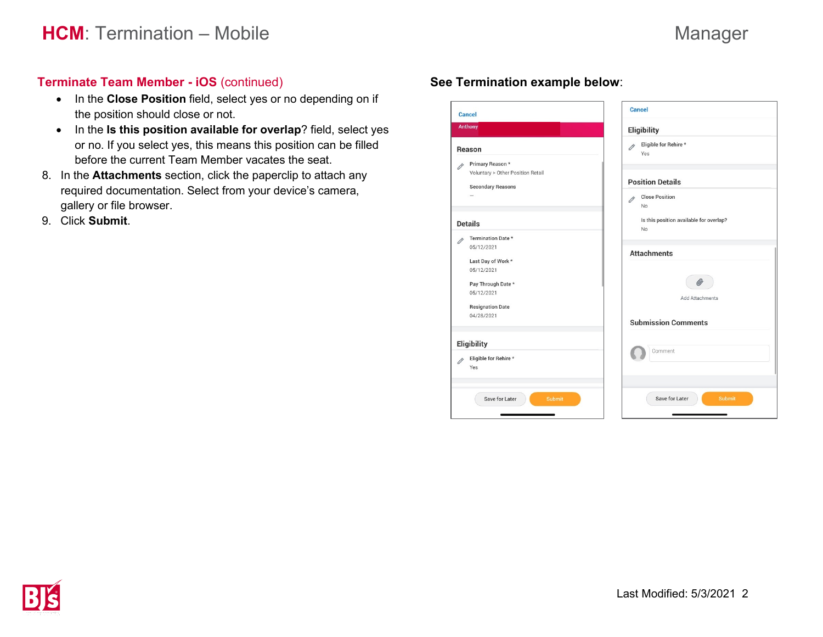# **Terminate Team Member - iOS** (continued)

- In the **Close Position** field, select yes or no depending on if the position should close or not.
- In the **Is this position available for overlap**? field, select yes or no. If you select yes, this means this position can be filled before the current Team Member vacates the seat.
- 8. In the **Attachments** section, click the paperclip to attach any required documentation. Select from your device's camera, gallery or file browser.
- 9. Click **Submit**.

# **See Termination example below**:

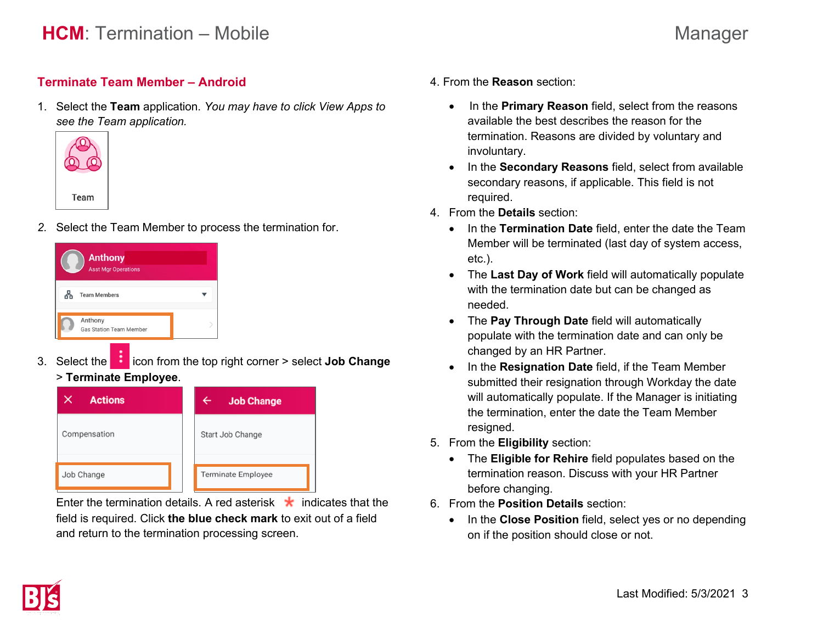## **Terminate Team Member – Android**

1. Select the **Team** application. *You may have to click View Apps to see the Team application.* 



*2.* Select the Team Member to process the termination for.



3. Select the **interpret in the top right corner > select Job Change** 

# > **Terminate Employee**.

| <b>Actions</b> | <b>Job Change</b>  |
|----------------|--------------------|
| Compensation   | Start Job Change   |
| Job Change     | Terminate Employee |

Enter the termination details. A red asterisk  $\star$  indicates that the field is required. Click **the blue check mark** to exit out of a field and return to the termination processing screen.

- 4. From the **Reason** section:
	- In the **Primary Reason** field, select from the reasons available the best describes the reason for the termination. Reasons are divided by voluntary and involuntary.
	- In the **Secondary Reasons** field, select from available secondary reasons, if applicable. This field is not required.
- 4. From the **Details** section:
	- In the **Termination Date** field, enter the date the Team Member will be terminated (last day of system access, etc.).
	- The **Last Day of Work** field will automatically populate with the termination date but can be changed as needed.
	- The **Pay Through Date** field will automatically populate with the termination date and can only be changed by an HR Partner.
	- In the **Resignation Date** field, if the Team Member submitted their resignation through Workday the date will automatically populate. If the Manager is initiating the termination, enter the date the Team Member resigned.
- 5. From the **Eligibility** section:
	- The **Eligible for Rehire** field populates based on the termination reason. Discuss with your HR Partner before changing.
- 6. From the **Position Details** section:
	- In the **Close Position** field, select yes or no depending on if the position should close or not.